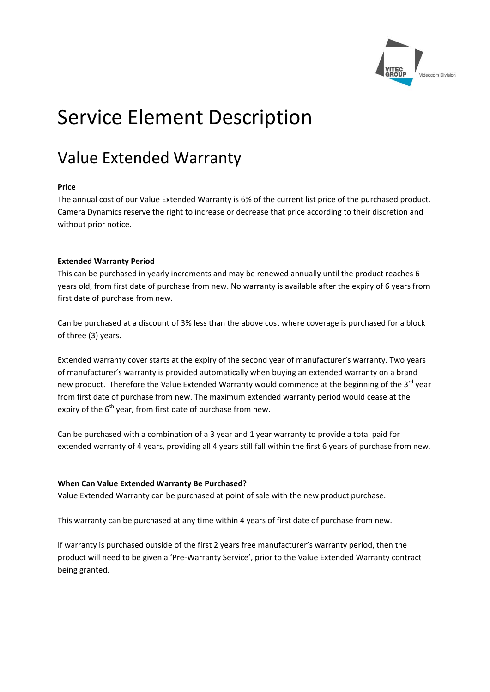

# Service Element Description

# Value Extended Warranty

### **Price**

The annual cost of our Value Extended Warranty is 6% of the current list price of the purchased product. Camera Dynamics reserve the right to increase or decrease that price according to their discretion and without prior notice.

### **Extended Warranty Period**

This can be purchased in yearly increments and may be renewed annually until the product reaches 6 years old, from first date of purchase from new. No warranty is available after the expiry of 6 years from first date of purchase from new.

Can be purchased at a discount of 3% less than the above cost where coverage is purchased for a block of three (3) years.

Extended warranty cover starts at the expiry of the second year of manufacturer's warranty. Two years of manufacturer's warranty is provided automatically when buying an extended warranty on a brand new product. Therefore the Value Extended Warranty would commence at the beginning of the 3<sup>rd</sup> year from first date of purchase from new. The maximum extended warranty period would cease at the expiry of the  $6<sup>th</sup>$  year, from first date of purchase from new.

Can be purchased with a combination of a 3 year and 1 year warranty to provide a total paid for extended warranty of 4 years, providing all 4 years still fall within the first 6 years of purchase from new.

## **When Can Value Extended Warranty Be Purchased?**

Value Extended Warranty can be purchased at point of sale with the new product purchase.

This warranty can be purchased at any time within 4 years of first date of purchase from new.

If warranty is purchased outside of the first 2 years free manufacturer's warranty period, then the product will need to be given a 'Pre‐Warranty Service', prior to the Value Extended Warranty contract being granted.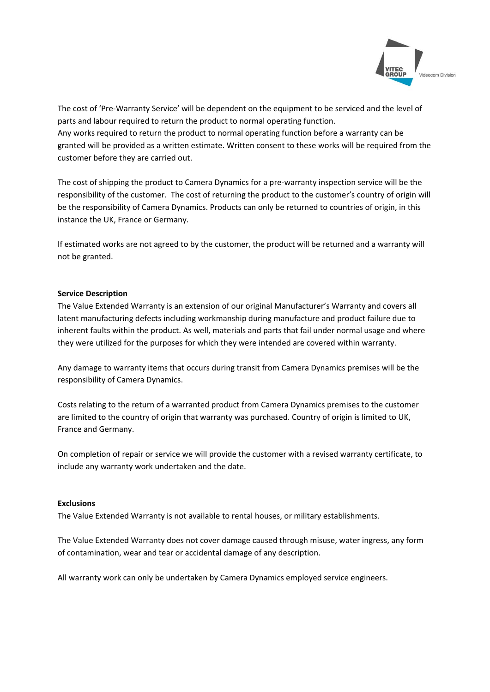

The cost of 'Pre‐Warranty Service' will be dependent on the equipment to be serviced and the level of parts and labour required to return the product to normal operating function. Any works required to return the product to normal operating function before a warranty can be granted will be provided as a written estimate. Written consent to these works will be required from the customer before they are carried out.

The cost of shipping the product to Camera Dynamics for a pre‐warranty inspection service will be the responsibility of the customer. The cost of returning the product to the customer's country of origin will be the responsibility of Camera Dynamics. Products can only be returned to countries of origin, in this instance the UK, France or Germany.

If estimated works are not agreed to by the customer, the product will be returned and a warranty will not be granted.

#### **Service Description**

The Value Extended Warranty is an extension of our original Manufacturer's Warranty and covers all latent manufacturing defects including workmanship during manufacture and product failure due to inherent faults within the product. As well, materials and parts that fail under normal usage and where they were utilized for the purposes for which they were intended are covered within warranty.

Any damage to warranty items that occurs during transit from Camera Dynamics premises will be the responsibility of Camera Dynamics.

Costs relating to the return of a warranted product from Camera Dynamics premises to the customer are limited to the country of origin that warranty was purchased. Country of origin is limited to UK, France and Germany.

On completion of repair or service we will provide the customer with a revised warranty certificate, to include any warranty work undertaken and the date.

#### **Exclusions**

The Value Extended Warranty is not available to rental houses, or military establishments.

The Value Extended Warranty does not cover damage caused through misuse, water ingress, any form of contamination, wear and tear or accidental damage of any description.

All warranty work can only be undertaken by Camera Dynamics employed service engineers.